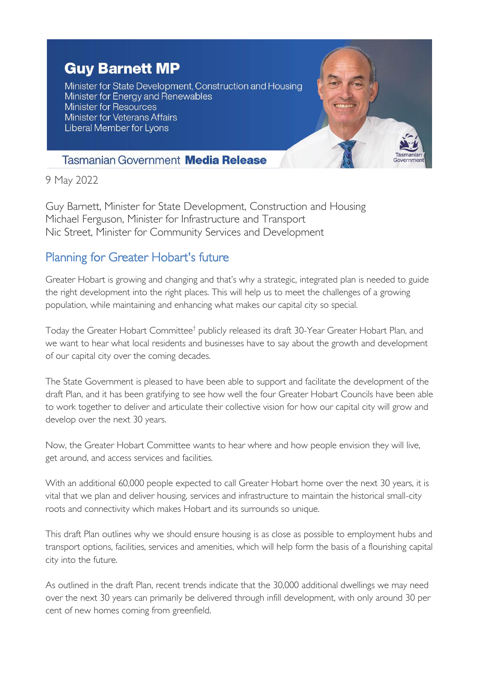## **Guy Barnett MP**

Minister for State Development, Construction and Housing Minister for Energy and Renewables **Minister for Resources Minister for Veterans Affairs** Liberal Member for Lyons



## **Tasmanian Government Media Release**

9 May 2022

Guy Barnett, Minister for State Development, Construction and Housing Michael Ferguson, Minister for Infrastructure and Transport Nic Street, Minister for Community Services and Development

## Planning for Greater Hobart's future

Greater Hobart is growing and changing and that's why a strategic, integrated plan is needed to guide the right development into the right places. This will help us to meet the challenges of a growing population, while maintaining and enhancing what makes our capital city so special.

Today the Greater Hobart Committee<sup>†</sup> publicly released its draft 30-Year Greater Hobart Plan, and we want to hear what local residents and businesses have to say about the growth and development of our capital city over the coming decades.

The State Government is pleased to have been able to support and facilitate the development of the draft Plan, and it has been gratifying to see how well the four Greater Hobart Councils have been able to work together to deliver and articulate their collective vision for how our capital city will grow and develop over the next 30 years.

Now, the Greater Hobart Committee wants to hear where and how people envision they will live, get around, and access services and facilities.

With an additional 60,000 people expected to call Greater Hobart home over the next 30 years, it is vital that we plan and deliver housing, services and infrastructure to maintain the historical small-city roots and connectivity which makes Hobart and its surrounds so unique.

This draft Plan outlines why we should ensure housing is as close as possible to employment hubs and transport options, facilities, services and amenities, which will help form the basis of a flourishing capital city into the future.

As outlined in the draft Plan, recent trends indicate that the 30,000 additional dwellings we may need over the next 30 years can primarily be delivered through infill development, with only around 30 per cent of new homes coming from greenfield.